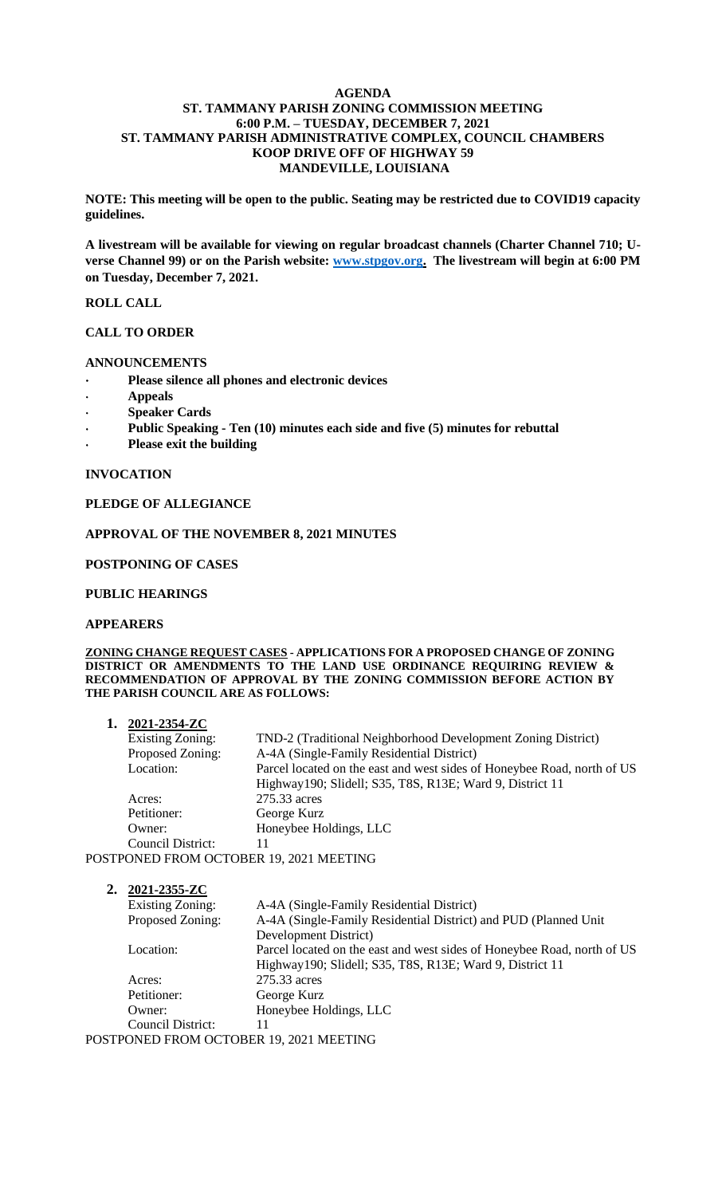#### **AGENDA ST. TAMMANY PARISH ZONING COMMISSION MEETING 6:00 P.M. – TUESDAY, DECEMBER 7, 2021 ST. TAMMANY PARISH ADMINISTRATIVE COMPLEX, COUNCIL CHAMBERS KOOP DRIVE OFF OF HIGHWAY 59 MANDEVILLE, LOUISIANA**

**NOTE: This meeting will be open to the public. Seating may be restricted due to COVID19 capacity guidelines.** 

**A livestream will be available for viewing on regular broadcast channels (Charter Channel 710; Uverse Channel 99) or on the Parish website: [www.stpgov.org.](http://www.stpgov.org/) The livestream will begin at 6:00 PM on Tuesday, December 7, 2021.** 

### **ROLL CALL**

# **CALL TO ORDER**

### **ANNOUNCEMENTS**

- **Please silence all phones and electronic devices**
- **Appeals**
- **Speaker Cards**
- **Public Speaking - Ten (10) minutes each side and five (5) minutes for rebuttal**
- **Please exit the building**

### **INVOCATION**

# **PLEDGE OF ALLEGIANCE**

### **APPROVAL OF THE NOVEMBER 8, 2021 MINUTES**

### **POSTPONING OF CASES**

### **PUBLIC HEARINGS**

### **APPEARERS**

#### **ZONING CHANGE REQUEST CASES - APPLICATIONS FOR A PROPOSED CHANGE OF ZONING DISTRICT OR AMENDMENTS TO THE LAND USE ORDINANCE REQUIRING REVIEW & RECOMMENDATION OF APPROVAL BY THE ZONING COMMISSION BEFORE ACTION BY THE PARISH COUNCIL ARE AS FOLLOWS:**

| 1. $2021 - 2354 - ZC$                   |                                                                         |
|-----------------------------------------|-------------------------------------------------------------------------|
| <b>Existing Zoning:</b>                 | TND-2 (Traditional Neighborhood Development Zoning District)            |
| Proposed Zoning:                        | A-4A (Single-Family Residential District)                               |
| Location:                               | Parcel located on the east and west sides of Honeybee Road, north of US |
|                                         | Highway190; Slidell; S35, T8S, R13E; Ward 9, District 11                |
| Acres:                                  | 275.33 acres                                                            |
| Petitioner:                             | George Kurz                                                             |
| Owner:                                  | Honeybee Holdings, LLC                                                  |
| Council District:                       | 11                                                                      |
| POSTPONED FROM OCTOBER 19, 2021 MEETING |                                                                         |

# **2. 2021-2355-ZC** Existing Zoning: A-4A (Single-Family Residential District) Proposed Zoning: A-4A (Single-Family Residential District) and PUD (Planned Unit Development District) Location: Parcel located on the east and west sides of Honeybee Road, north of US Highway190; Slidell; S35, T8S, R13E; Ward 9, District 11 Acres: 275.33 acres Petitioner: George Kurz Owner: Honeybee Holdings, LLC Council District: 11

POSTPONED FROM OCTOBER 19, 2021 MEETING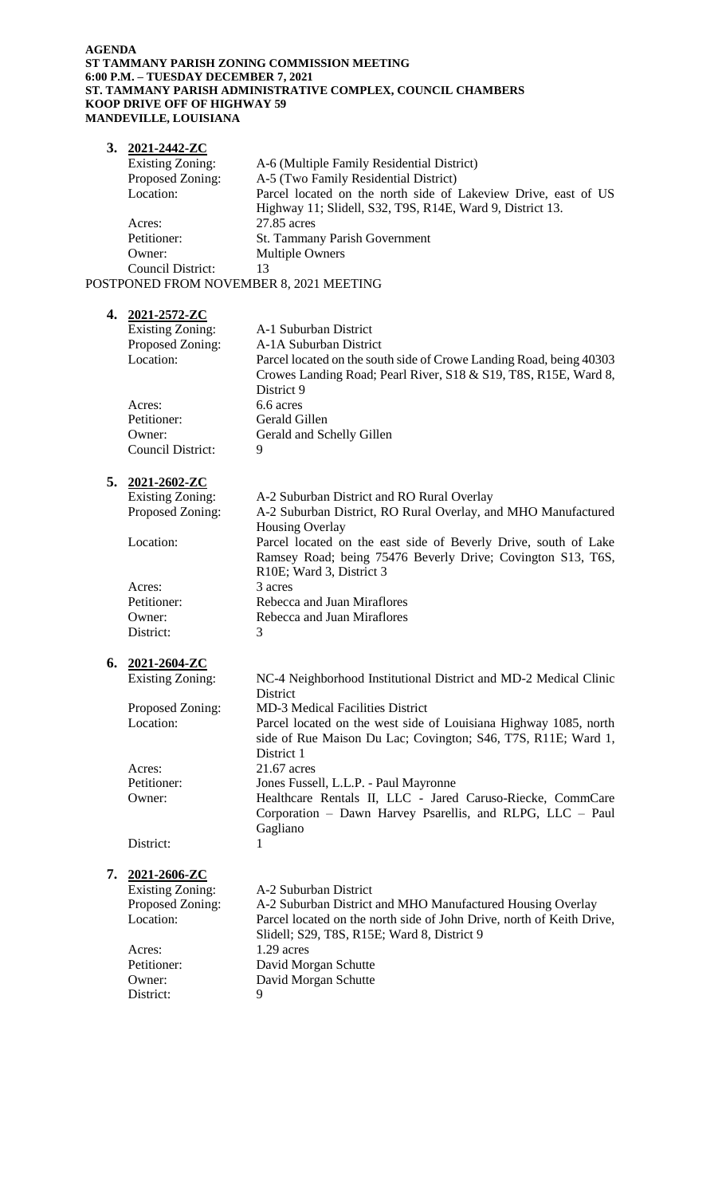#### **AGENDA ST TAMMANY PARISH ZONING COMMISSION MEETING 6:00 P.M. – TUESDAY DECEMBER 7, 2021 ST. TAMMANY PARISH ADMINISTRATIVE COMPLEX, COUNCIL CHAMBERS KOOP DRIVE OFF OF HIGHWAY 59 MANDEVILLE, LOUISIANA**

|    | 3. $2021 - 2442 - ZC$    |                                                                                                                                |
|----|--------------------------|--------------------------------------------------------------------------------------------------------------------------------|
|    | <b>Existing Zoning:</b>  | A-6 (Multiple Family Residential District)                                                                                     |
|    | Proposed Zoning:         | A-5 (Two Family Residential District)                                                                                          |
|    | Location:                | Parcel located on the north side of Lakeview Drive, east of US<br>Highway 11; Slidell, S32, T9S, R14E, Ward 9, District 13.    |
|    | Acres:                   | 27.85 acres                                                                                                                    |
|    | Petitioner:              | St. Tammany Parish Government                                                                                                  |
|    | Owner:                   | <b>Multiple Owners</b>                                                                                                         |
|    | Council District:        | 13                                                                                                                             |
|    |                          | POSTPONED FROM NOVEMBER 8, 2021 MEETING                                                                                        |
|    | 4. 2021-2572-ZC          |                                                                                                                                |
|    | <b>Existing Zoning:</b>  | A-1 Suburban District                                                                                                          |
|    | Proposed Zoning:         | A-1A Suburban District                                                                                                         |
|    | Location:                | Parcel located on the south side of Crowe Landing Road, being 40303                                                            |
|    |                          | Crowes Landing Road; Pearl River, S18 & S19, T8S, R15E, Ward 8,<br>District 9                                                  |
|    | Acres:                   | 6.6 acres                                                                                                                      |
|    | Petitioner:              | Gerald Gillen                                                                                                                  |
|    | Owner:                   | Gerald and Schelly Gillen                                                                                                      |
|    | <b>Council District:</b> | 9                                                                                                                              |
|    |                          |                                                                                                                                |
| 5. | <u>2021-2602-ZC</u>      |                                                                                                                                |
|    | <b>Existing Zoning:</b>  | A-2 Suburban District and RO Rural Overlay                                                                                     |
|    | Proposed Zoning:         | A-2 Suburban District, RO Rural Overlay, and MHO Manufactured                                                                  |
|    |                          | <b>Housing Overlay</b>                                                                                                         |
|    | Location:                | Parcel located on the east side of Beverly Drive, south of Lake<br>Ramsey Road; being 75476 Beverly Drive; Covington S13, T6S, |
|    |                          | R10E; Ward 3, District 3                                                                                                       |
|    | Acres:                   | 3 acres                                                                                                                        |
|    | Petitioner:              | Rebecca and Juan Miraflores                                                                                                    |
|    | Owner:                   | Rebecca and Juan Miraflores                                                                                                    |
|    | District:                | 3                                                                                                                              |
|    | 6. $2021 - 2604 - ZC$    |                                                                                                                                |
|    | <b>Existing Zoning:</b>  | NC-4 Neighborhood Institutional District and MD-2 Medical Clinic                                                               |
|    |                          | District                                                                                                                       |
|    | Proposed Zoning:         | <b>MD-3 Medical Facilities District</b>                                                                                        |
|    | Location:                | Parcel located on the west side of Louisiana Highway 1085, north                                                               |
|    |                          | side of Rue Maison Du Lac; Covington; S46, T7S, R11E; Ward 1,<br>District 1                                                    |
|    | Acres:                   | 21.67 acres                                                                                                                    |
|    | Petitioner:              | Jones Fussell, L.L.P. - Paul Mayronne                                                                                          |
|    | Owner:                   | Healthcare Rentals II, LLC - Jared Caruso-Riecke, CommCare                                                                     |
|    |                          | Corporation - Dawn Harvey Psarellis, and RLPG, LLC - Paul<br>Gagliano                                                          |
|    | District:                | 1                                                                                                                              |
| 7. | 2021-2606-ZC             |                                                                                                                                |
|    | <b>Existing Zoning:</b>  | A-2 Suburban District                                                                                                          |
|    | Proposed Zoning:         | A-2 Suburban District and MHO Manufactured Housing Overlay                                                                     |
|    | Location:                | Parcel located on the north side of John Drive, north of Keith Drive,                                                          |
|    |                          | Slidell; S29, T8S, R15E; Ward 8, District 9                                                                                    |
|    | Acres:                   | 1.29 acres                                                                                                                     |
|    | Petitioner:              | David Morgan Schutte                                                                                                           |
|    | Owner:                   | David Morgan Schutte                                                                                                           |
|    | District:                | 9                                                                                                                              |
|    |                          |                                                                                                                                |